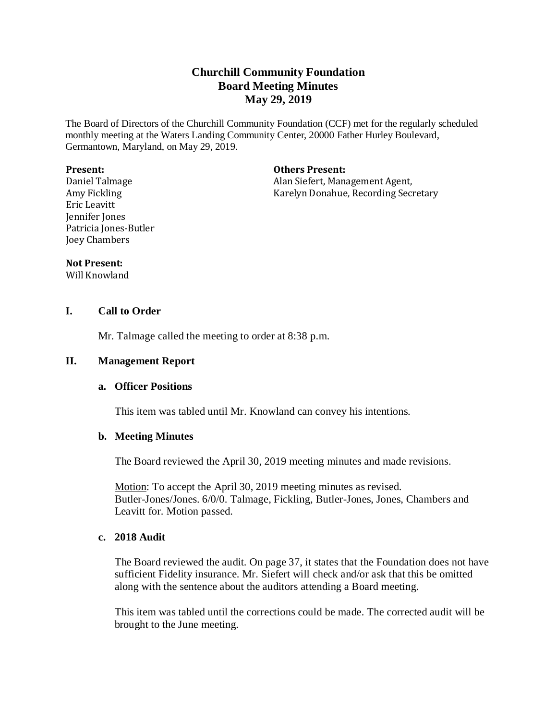# **Churchill Community Foundation Board Meeting Minutes May 29, 2019**

The Board of Directors of the Churchill Community Foundation (CCF) met for the regularly scheduled monthly meeting at the Waters Landing Community Center, 20000 Father Hurley Boulevard, Germantown, Maryland, on May 29, 2019.

#### **Present:**

Daniel Talmage Amy Fickling Eric Leavitt Jennifer Jones Patricia Jones-Butler Joey Chambers

**Others Present:**

Alan Siefert, Management Agent, Karelyn Donahue, Recording Secretary

#### **Not Present:**

Will Knowland

# **I. Call to Order**

Mr. Talmage called the meeting to order at 8:38 p.m.

### **II. Management Report**

### **a. Officer Positions**

This item was tabled until Mr. Knowland can convey his intentions.

# **b. Meeting Minutes**

The Board reviewed the April 30, 2019 meeting minutes and made revisions.

Motion: To accept the April 30, 2019 meeting minutes as revised. Butler-Jones/Jones. 6/0/0. Talmage, Fickling, Butler-Jones, Jones, Chambers and Leavitt for. Motion passed.

# **c. 2018 Audit**

The Board reviewed the audit. On page 37, it states that the Foundation does not have sufficient Fidelity insurance. Mr. Siefert will check and/or ask that this be omitted along with the sentence about the auditors attending a Board meeting.

This item was tabled until the corrections could be made. The corrected audit will be brought to the June meeting.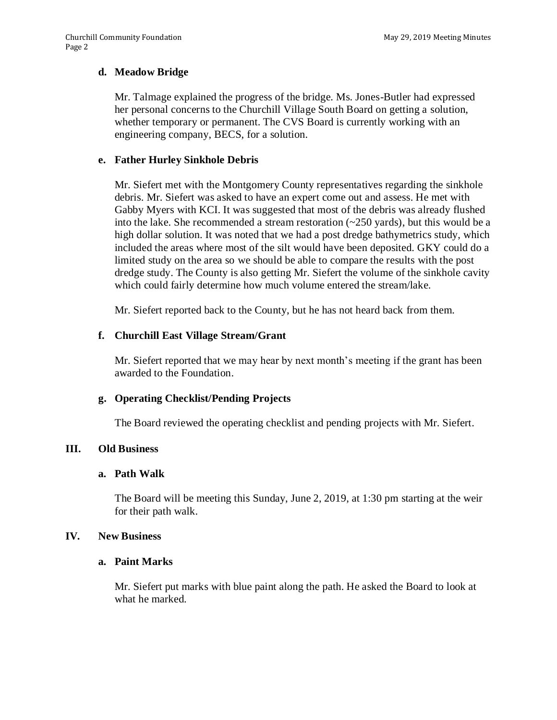### **d. Meadow Bridge**

Mr. Talmage explained the progress of the bridge. Ms. Jones-Butler had expressed her personal concerns to the Churchill Village South Board on getting a solution, whether temporary or permanent. The CVS Board is currently working with an engineering company, BECS, for a solution.

### **e. Father Hurley Sinkhole Debris**

Mr. Siefert met with the Montgomery County representatives regarding the sinkhole debris. Mr. Siefert was asked to have an expert come out and assess. He met with Gabby Myers with KCI. It was suggested that most of the debris was already flushed into the lake. She recommended a stream restoration  $(\sim 250 \text{ yards})$ , but this would be a high dollar solution. It was noted that we had a post dredge bathymetrics study, which included the areas where most of the silt would have been deposited. GKY could do a limited study on the area so we should be able to compare the results with the post dredge study. The County is also getting Mr. Siefert the volume of the sinkhole cavity which could fairly determine how much volume entered the stream/lake.

Mr. Siefert reported back to the County, but he has not heard back from them.

### **f. Churchill East Village Stream/Grant**

Mr. Siefert reported that we may hear by next month's meeting if the grant has been awarded to the Foundation.

#### **g. Operating Checklist/Pending Projects**

The Board reviewed the operating checklist and pending projects with Mr. Siefert.

#### **III. Old Business**

#### **a. Path Walk**

The Board will be meeting this Sunday, June 2, 2019, at 1:30 pm starting at the weir for their path walk.

#### **IV. New Business**

### **a. Paint Marks**

Mr. Siefert put marks with blue paint along the path. He asked the Board to look at what he marked.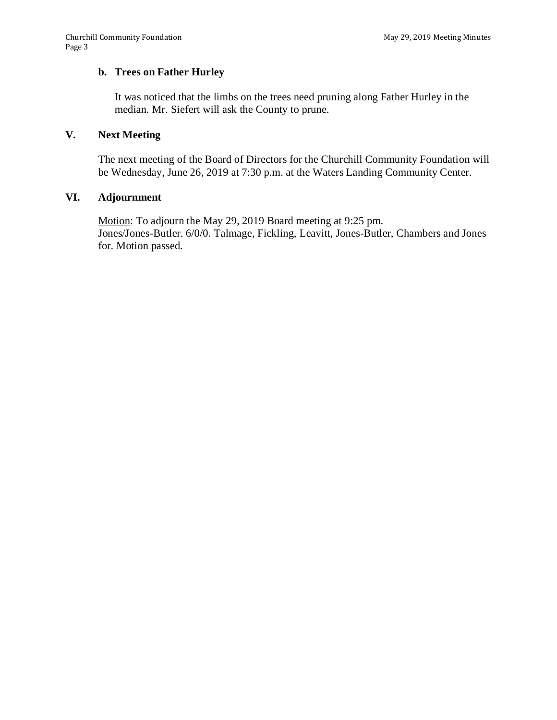# **b. Trees on Father Hurley**

It was noticed that the limbs on the trees need pruning along Father Hurley in the median. Mr. Siefert will ask the County to prune.

### **V. Next Meeting**

The next meeting of the Board of Directors for the Churchill Community Foundation will be Wednesday, June 26, 2019 at 7:30 p.m. at the Waters Landing Community Center.

# **VI. Adjournment**

Motion: To adjourn the May 29, 2019 Board meeting at 9:25 pm. Jones/Jones-Butler. 6/0/0. Talmage, Fickling, Leavitt, Jones-Butler, Chambers and Jones for. Motion passed.